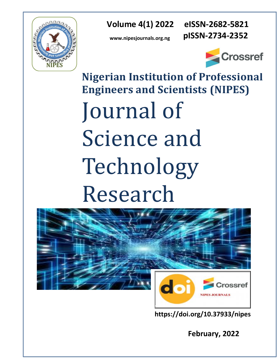

 **Volume 4(1) 2022 eISSN-2682-5821**

 **pISSN-2734-2352**

**www.nipesjournals.org.ng**



**Nigerian Institution of Professional Engineers and Scientists (NIPES)** Journal of Science and Technology Research



**https://doi.org/10.37933/nipes**

 **February, 2022**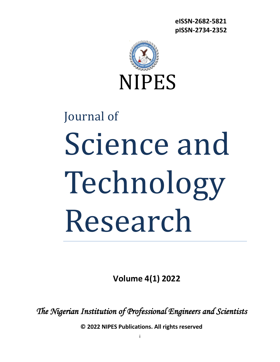**eISSN-2682-5821 pISSN-2734-2352**



# Journal of Science and Technology Research

**Volume 4(1) 2022**

*The Nigerian Institution of Professional Engineers and Scientists* 

**© 2022 NIPES Publications. All rights reserved**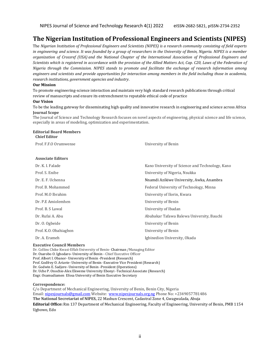# **The Nigerian Institution of Professional Engineers and Scientists (NIPES)**

The *Nigerian Institution of Professional Engineers and Scientists (NIPES) is a research community consisting of field experts in engineering and science. It was founded by a group of researchers in the University of Benin, Nigeria. NIPES is a member organization of Crossref (USA) and the National Chapter of the International Association of Professional Engineers and Scientists which is registered in accordance with the provision of the Allied Matters Act, Cap. C20, Laws of the Federation of Nigeria through the Commission. NIPES stands to promote and facilitate the exchange of research information among engineers and scientists and provide opportunities for interaction among members in the field including those in academia, research institutions, government agencies and industry*.

### **Our Mission**

To promote engineering-science interaction and maintain very high standard research publications through critical review of manuscripts and ensure its entrenchment to reputable ethical code of practice

#### **Our Vision**

To be the leading gateway for disseminating high quality and innovative research in engineering and science across Africa **Journal Scope**

The Journal of Science and Technology Research focuses on novel aspects of engineering, physical science and life science, especially in areas of modeling, optimization and experimentation.

#### **Editorial Board Members Chief Editor**

| Prof. F.F.O Orumwense    | University of Benin                             |
|--------------------------|-------------------------------------------------|
| <b>Associate Editors</b> |                                                 |
| Dr. K. I. Falade         | Kano University of Science and Technology, Kano |
| Prof. S. Enibe           | University of Nigeria, Nsukka                   |
| Dr. E. F. Uchenna        | Nnamdi Azikiwe University, Awka, Anambra        |
| Prof. B. Mohammed        | Federal University of Technology, Minna         |
| Prof. M.O Ibrahim        | University of Ilorin, Kwara                     |
| Dr. P.E Amiolemhen       | University of Benin                             |
| Prof. B. S Lawal         | University of Ibadan                            |
| Dr. Rufai A. Abu         | Abubakar Tafawa Balewa University, Bauchi       |
| Dr. O. Ogbeide           | University of Benin                             |
| Prof. K.O. Obahiagbon    | University of Benin                             |
| Dr. A. Erameh            | Igbinedion University, Okada                    |
|                          |                                                 |

## **Executive Council Members**

Dr. Collins Chike Kwasi-Effah University of Benin- Chairman /Managing Editor Dr. Osarobo O. Ighodaro- University of Benin - Chief Executive Officer Prof. Albert I. Obanor- University of Benin -President (Research) Prof. Godfrey O. Ariavie- University of Benin -Executive Vice President (Research) Dr. Godwin E. Sadjere- University of Benin -President (Operations) Dr. Uche P. Onochie-Alex Ekweme University Ebonyi -Technical Associate (Research) Engr. Osamudiamen Efosa University of Benin Executive Secretary

#### **Correspondence:**

C/o Department of Mechanical Engineering, University of Benin, Benin City, Nigeria Email[: nipesjournals@gmail.com](mailto:nipesjournals@gmail.com) Website: [www.nipesjournals.org.ng](http://www.nipesjournals.org.ng/) Phone No: +2349057781486 **The National Secretariat of NIPES,** 22 Mashun Crescent, Cadastral Zone 4, Gwagwalada, Abuja **Editorial Office:** Rm 137 Department of Mechanical Engineering, Faculty of Engineering, University of Benin, PMB 1154 Ugbowo, Edo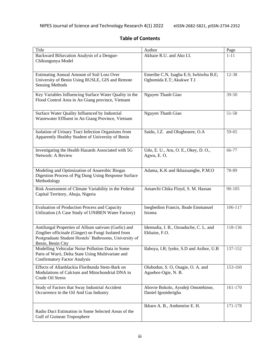|  |  | <b>Table of Contents</b> |
|--|--|--------------------------|
|--|--|--------------------------|

| Title                                                                                                         | Author                                   | Page       |
|---------------------------------------------------------------------------------------------------------------|------------------------------------------|------------|
| Backward Bifurcation Analysis of a Dengue-                                                                    | Akhaze R.U. and Ako I.I.                 | $1 - 11$   |
| Chikungunya Model                                                                                             |                                          |            |
|                                                                                                               |                                          |            |
| Estimating Annual Amount of Soil Loss Over                                                                    | Emeribe C.N, Isagba E.S; Iwhiwhu B.E;    | 12-38      |
| University of Benin Using RUSLE, GIS and Remote                                                               | Ogbomida E.T; Akukwe T.I                 |            |
| <b>Sensing Methods</b>                                                                                        |                                          |            |
|                                                                                                               |                                          |            |
| Key Variables Influencing Surface Water Quality in the                                                        | Nguyen Thanh Giao                        | $39 - 50$  |
| Flood Control Area in An Giang province, Vietnam                                                              |                                          |            |
|                                                                                                               |                                          |            |
| Surface Water Quality Influenced by Industrial                                                                | Nguyen Thanh Giao                        | 51-58      |
|                                                                                                               |                                          |            |
| Wastewater Effluent in An Giang Province, Vietnam                                                             |                                          |            |
|                                                                                                               |                                          |            |
| Isolation of Urinary Tract Infection Organisms from                                                           | Saidu, J.Z. and Ologbosere, O.A          | 59-65      |
| Apparently Healthy Student of University of Benin                                                             |                                          |            |
|                                                                                                               |                                          |            |
| Investigating the Health Hazards Associated with 5G                                                           | Udo, E. U., Aru, O. E., Okey, D. O.,     | 66-77      |
| Network: A Review                                                                                             | Agwu, E.O.                               |            |
|                                                                                                               |                                          |            |
|                                                                                                               |                                          |            |
| Modeling and Optimization of Anaerobic Biogas                                                                 | Adama, K.K and Ikhazuangbe, P.M.O        | 78-89      |
| Digestion Process of Pig Dung Using Response Surface                                                          |                                          |            |
| Methodology                                                                                                   |                                          |            |
|                                                                                                               |                                          | $90 - 105$ |
| Risk Assessment of Climate Variability in the Federal<br>Capital Territory, Abuja, Nigeria                    | Amaechi Chika Floyd, S. M. Hassan        |            |
|                                                                                                               |                                          |            |
|                                                                                                               |                                          |            |
| <b>Evaluation of Production Process and Capacity</b>                                                          | Inegbedion Francis, Ibude Emmanuel       | 106-117    |
| Utilization (A Case Study of UNIBEN Water Factory)                                                            | Isioma                                   |            |
|                                                                                                               |                                          |            |
| Antifungal Properties of Allium sativum (Garlic) and                                                          |                                          | 118-136    |
|                                                                                                               | Idemudia, I. B., Ozoaduche, C. L. and    |            |
| Zingiber officinale (Ginger) on Fungi Isolated from<br>Postgraduate Student Hostels' Bathrooms, University of | Ekhaise, F.O.                            |            |
| Benin, Benin City                                                                                             |                                          |            |
| Modelling Vehicular Noise Pollution Data in Some                                                              | Ilaboya, I.R; Iyeke, S.D and Asibor, U.B | 137-152    |
| Parts of Warri, Delta State Using Multivariate and                                                            |                                          |            |
| <b>Confirmatory Factor Analysis</b>                                                                           |                                          |            |
|                                                                                                               |                                          |            |
| Effects of Allanblackia Floribunda Stem-Bark on                                                               | Olubodun, S. O, Osagie, O. A. and        | 153-160    |
| Modulations of Calcium and Mitochondrial DNA in                                                               | Aguebor-Ogie, N. B.                      |            |
| Crude Oil Stress                                                                                              |                                          |            |
| Study of Factors that Sway Industrial Accident                                                                | Abovie Bokolo, Ayodeji Omotehinse,       | 161-170    |
|                                                                                                               |                                          |            |
| Occurrence in the Oil And Gas Industry                                                                        | Daniel Igoniderigha                      |            |
|                                                                                                               |                                          |            |
|                                                                                                               | Ikharo A. B., Amhenrior E. H.            | 171-178    |
| Radio Duct Estimation in Some Selected Areas of the                                                           |                                          |            |
| Gulf of Guinean Troposphere                                                                                   |                                          |            |
|                                                                                                               |                                          |            |